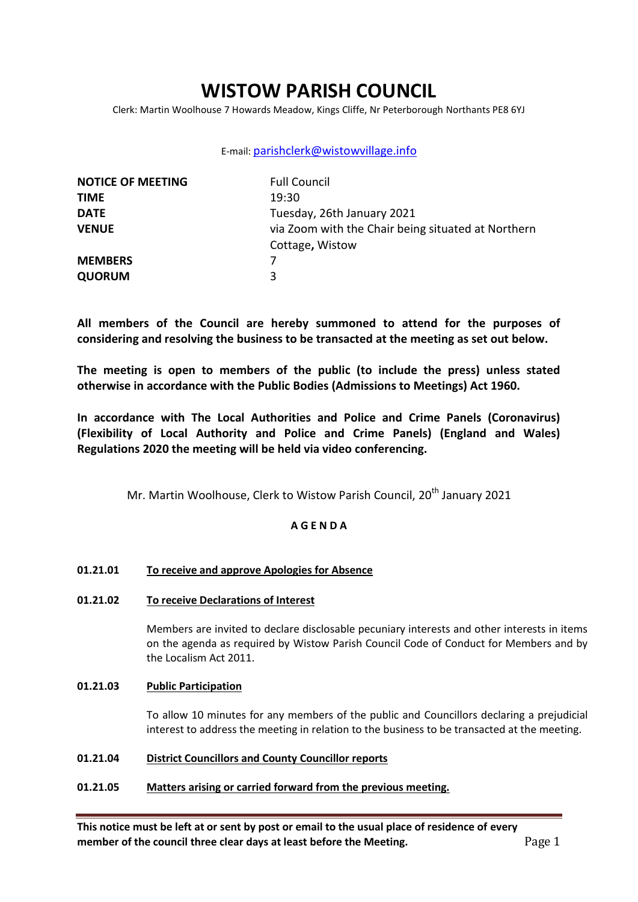# **WISTOW PARISH COUNCIL**

Clerk: Martin Woolhouse 7 Howards Meadow, Kings Cliffe, Nr Peterborough Northants PE8 6YJ

# E-mail: [parishclerk@wistowvillage.info](mailto:parishclerk@wistowvillage.info)

| <b>NOTICE OF MEETING</b> | <b>Full Council</b>                                |
|--------------------------|----------------------------------------------------|
| <b>TIME</b>              | 19:30                                              |
| <b>DATE</b>              | Tuesday, 26th January 2021                         |
| <b>VENUE</b>             | via Zoom with the Chair being situated at Northern |
|                          | Cottage, Wistow                                    |
| <b>MEMBERS</b>           |                                                    |
| <b>QUORUM</b>            | 3                                                  |

**All members of the Council are hereby summoned to attend for the purposes of considering and resolving the business to be transacted at the meeting as set out below.** 

**The meeting is open to members of the public (to include the press) unless stated otherwise in accordance with the Public Bodies (Admissions to Meetings) Act 1960.**

**In accordance with The Local Authorities and Police and Crime Panels (Coronavirus) (Flexibility of Local Authority and Police and Crime Panels) (England and Wales) Regulations 2020 the meeting will be held via video conferencing.** 

Mr. Martin Woolhouse, Clerk to Wistow Parish Council, 20<sup>th</sup> January 2021

# **A G E N D A**

# **01.21.01 To receive and approve Apologies for Absence**

# **01.21.02 To receive Declarations of Interest**

Members are invited to declare disclosable pecuniary interests and other interests in items on the agenda as required by Wistow Parish Council Code of Conduct for Members and by the Localism Act 2011.

# **01.21.03 Public Participation**

To allow 10 minutes for any members of the public and Councillors declaring a prejudicial interest to address the meeting in relation to the business to be transacted at the meeting.

# **01.21.04 District Councillors and County Councillor reports**

# **01.21.05 Matters arising or carried forward from the previous meeting.**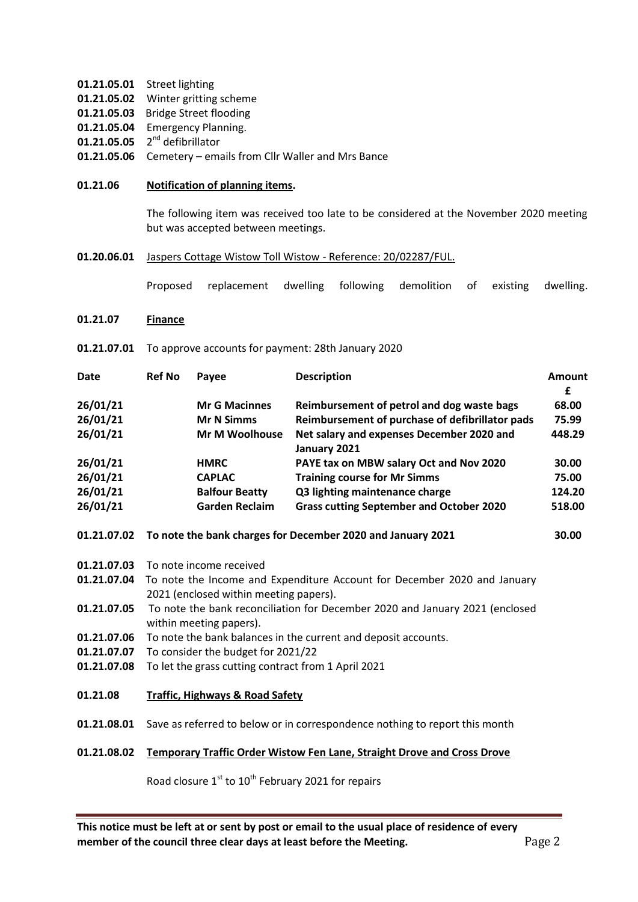- **01.21.05.01** Street lighting
- **01.21.05.02** Winter gritting scheme
- **01.21.05.03** Bridge Street flooding
- **01.21.05.04** Emergency Planning.
- 01.21.05.05 2<sup>nd</sup> defibrillator
- **01.21.05.06** Cemetery emails from Cllr Waller and Mrs Bance
- **01.21.06 Notification of planning items.**

The following item was received too late to be considered at the November 2020 meeting but was accepted between meetings.

**01.20.06.01** Jaspers Cottage Wistow Toll Wistow - Reference: 20/02287/FUL.

Proposed replacement dwelling following demolition of existing dwelling.

- **01.21.07 Finance**
- **01.21.07.01** To approve accounts for payment: 28th January 2020

| Date     | <b>Ref No</b> | Payee                 | <b>Description</b>                                        | Amount<br>£ |
|----------|---------------|-----------------------|-----------------------------------------------------------|-------------|
| 26/01/21 |               | <b>Mr G Macinnes</b>  | Reimbursement of petrol and dog waste bags                | 68.00       |
| 26/01/21 |               | <b>Mr N Simms</b>     | Reimbursement of purchase of defibrillator pads           | 75.99       |
| 26/01/21 |               | Mr M Woolhouse        | Net salary and expenses December 2020 and<br>January 2021 | 448.29      |
| 26/01/21 |               | <b>HMRC</b>           | PAYE tax on MBW salary Oct and Nov 2020                   | 30.00       |
| 26/01/21 |               | <b>CAPLAC</b>         | <b>Training course for Mr Simms</b>                       | 75.00       |
| 26/01/21 |               | <b>Balfour Beatty</b> | Q3 lighting maintenance charge                            | 124.20      |
| 26/01/21 |               | <b>Garden Reclaim</b> | <b>Grass cutting September and October 2020</b>           | 518.00      |

- **01.21.07.02 To note the bank charges for December 2020 and January 2021 30.00**
- **01.21.07.03** To note income received
- **01.21.07.04** To note the Income and Expenditure Account for December 2020 and January 2021 (enclosed within meeting papers).
- **01.21.07.05** To note the bank reconciliation for December 2020 and January 2021 (enclosed within meeting papers).
- **01.21.07.06** To note the bank balances in the current and deposit accounts.
- **01.21.07.07** To consider the budget for 2021/22
- **01.21.07.08** To let the grass cutting contract from 1 April 2021
- **01.21.08 Traffic, Highways & Road Safety**
- **01.21.08.01** Save as referred to below or in correspondence nothing to report this month

### **01.21.08.02 Temporary Traffic Order Wistow Fen Lane, Straight Drove and Cross Drove**

Road closure  $1<sup>st</sup>$  to  $10<sup>th</sup>$  February 2021 for repairs